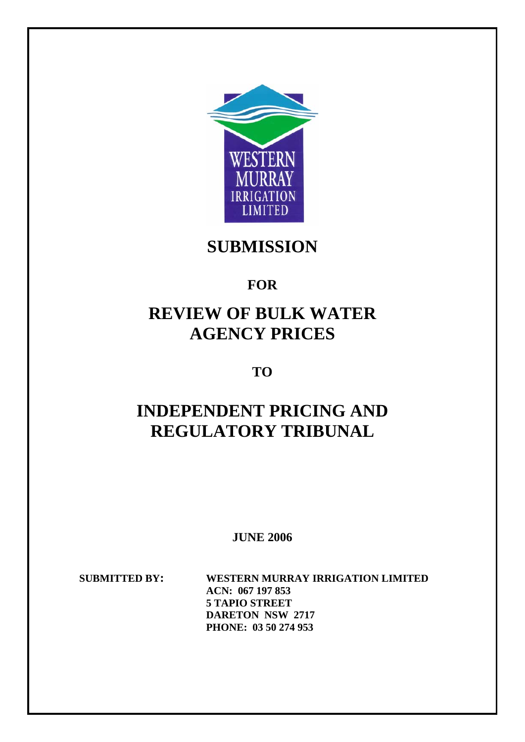

**SUBMISSION** 

# **FOR**

# **REVIEW OF BULK WATER AGENCY PRICES**

**TO** 

# **INDEPENDENT PRICING AND REGULATORY TRIBUNAL**

**JUNE 2006** 

**SUBMITTED BY: WESTERN MURRAY IRRIGATION LIMITED ACN: 067 197 853 5 TAPIO STREET DARETON NSW 2717 PHONE: 03 50 274 953**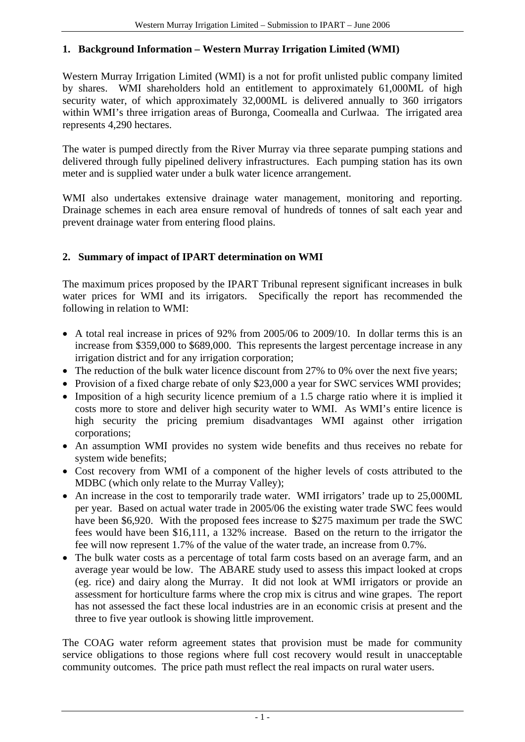# **1. Background Information – Western Murray Irrigation Limited (WMI)**

Western Murray Irrigation Limited (WMI) is a not for profit unlisted public company limited by shares. WMI shareholders hold an entitlement to approximately 61,000ML of high security water, of which approximately 32,000ML is delivered annually to 360 irrigators within WMI's three irrigation areas of Buronga, Coomealla and Curlwaa. The irrigated area represents 4,290 hectares.

The water is pumped directly from the River Murray via three separate pumping stations and delivered through fully pipelined delivery infrastructures. Each pumping station has its own meter and is supplied water under a bulk water licence arrangement.

WMI also undertakes extensive drainage water management, monitoring and reporting. Drainage schemes in each area ensure removal of hundreds of tonnes of salt each year and prevent drainage water from entering flood plains.

## **2. Summary of impact of IPART determination on WMI**

The maximum prices proposed by the IPART Tribunal represent significant increases in bulk water prices for WMI and its irrigators. Specifically the report has recommended the following in relation to WMI:

- A total real increase in prices of 92% from 2005/06 to 2009/10. In dollar terms this is an increase from \$359,000 to \$689,000. This represents the largest percentage increase in any irrigation district and for any irrigation corporation;
- The reduction of the bulk water licence discount from 27% to 0% over the next five years;
- Provision of a fixed charge rebate of only \$23,000 a year for SWC services WMI provides;
- Imposition of a high security licence premium of a 1.5 charge ratio where it is implied it costs more to store and deliver high security water to WMI. As WMI's entire licence is high security the pricing premium disadvantages WMI against other irrigation corporations;
- An assumption WMI provides no system wide benefits and thus receives no rebate for system wide benefits;
- Cost recovery from WMI of a component of the higher levels of costs attributed to the MDBC (which only relate to the Murray Valley);
- An increase in the cost to temporarily trade water. WMI irrigators' trade up to 25,000ML per year. Based on actual water trade in 2005/06 the existing water trade SWC fees would have been \$6,920. With the proposed fees increase to \$275 maximum per trade the SWC fees would have been \$16,111, a 132% increase. Based on the return to the irrigator the fee will now represent 1.7% of the value of the water trade, an increase from 0.7%.
- The bulk water costs as a percentage of total farm costs based on an average farm, and an average year would be low. The ABARE study used to assess this impact looked at crops (eg. rice) and dairy along the Murray. It did not look at WMI irrigators or provide an assessment for horticulture farms where the crop mix is citrus and wine grapes. The report has not assessed the fact these local industries are in an economic crisis at present and the three to five year outlook is showing little improvement.

The COAG water reform agreement states that provision must be made for community service obligations to those regions where full cost recovery would result in unacceptable community outcomes. The price path must reflect the real impacts on rural water users.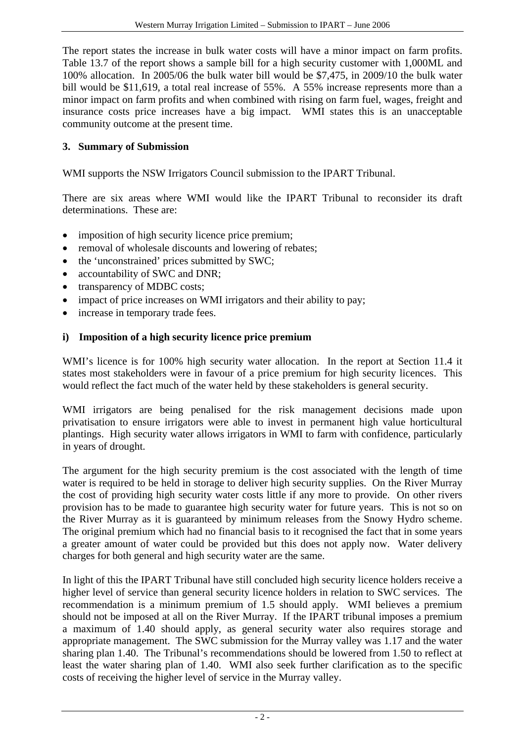The report states the increase in bulk water costs will have a minor impact on farm profits. Table 13.7 of the report shows a sample bill for a high security customer with 1,000ML and 100% allocation. In 2005/06 the bulk water bill would be \$7,475, in 2009/10 the bulk water bill would be \$11,619, a total real increase of 55%. A 55% increase represents more than a minor impact on farm profits and when combined with rising on farm fuel, wages, freight and insurance costs price increases have a big impact. WMI states this is an unacceptable community outcome at the present time.

## **3. Summary of Submission**

WMI supports the NSW Irrigators Council submission to the IPART Tribunal.

There are six areas where WMI would like the IPART Tribunal to reconsider its draft determinations. These are:

- imposition of high security licence price premium;
- removal of wholesale discounts and lowering of rebates;
- the 'unconstrained' prices submitted by SWC;
- accountability of SWC and DNR;
- transparency of MDBC costs;
- impact of price increases on WMI irrigators and their ability to pay;
- increase in temporary trade fees.

# **i) Imposition of a high security licence price premium**

WMI's licence is for 100% high security water allocation. In the report at Section 11.4 it states most stakeholders were in favour of a price premium for high security licences. This would reflect the fact much of the water held by these stakeholders is general security.

WMI irrigators are being penalised for the risk management decisions made upon privatisation to ensure irrigators were able to invest in permanent high value horticultural plantings. High security water allows irrigators in WMI to farm with confidence, particularly in years of drought.

The argument for the high security premium is the cost associated with the length of time water is required to be held in storage to deliver high security supplies. On the River Murray the cost of providing high security water costs little if any more to provide. On other rivers provision has to be made to guarantee high security water for future years. This is not so on the River Murray as it is guaranteed by minimum releases from the Snowy Hydro scheme. The original premium which had no financial basis to it recognised the fact that in some years a greater amount of water could be provided but this does not apply now. Water delivery charges for both general and high security water are the same.

In light of this the IPART Tribunal have still concluded high security licence holders receive a higher level of service than general security licence holders in relation to SWC services. The recommendation is a minimum premium of 1.5 should apply. WMI believes a premium should not be imposed at all on the River Murray. If the IPART tribunal imposes a premium a maximum of 1.40 should apply, as general security water also requires storage and appropriate management. The SWC submission for the Murray valley was 1.17 and the water sharing plan 1.40. The Tribunal's recommendations should be lowered from 1.50 to reflect at least the water sharing plan of 1.40. WMI also seek further clarification as to the specific costs of receiving the higher level of service in the Murray valley.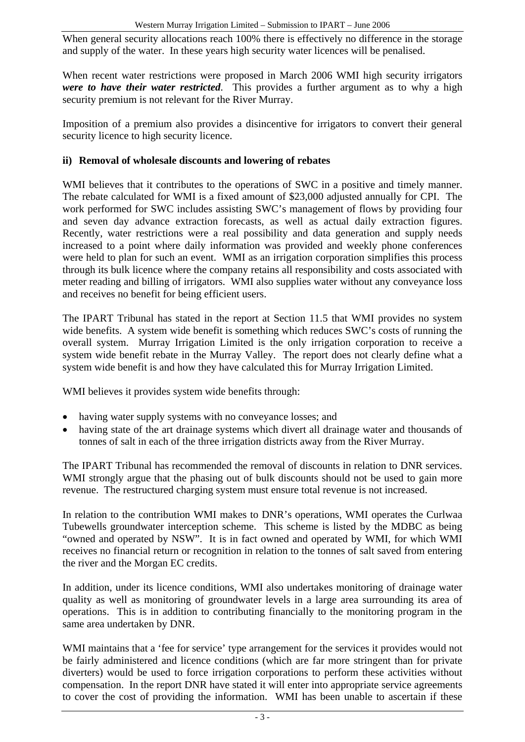When general security allocations reach 100% there is effectively no difference in the storage and supply of the water. In these years high security water licences will be penalised.

When recent water restrictions were proposed in March 2006 WMI high security irrigators *were to have their water restricted*. This provides a further argument as to why a high security premium is not relevant for the River Murray.

Imposition of a premium also provides a disincentive for irrigators to convert their general security licence to high security licence.

#### **ii) Removal of wholesale discounts and lowering of rebates**

WMI believes that it contributes to the operations of SWC in a positive and timely manner. The rebate calculated for WMI is a fixed amount of \$23,000 adjusted annually for CPI. The work performed for SWC includes assisting SWC's management of flows by providing four and seven day advance extraction forecasts, as well as actual daily extraction figures. Recently, water restrictions were a real possibility and data generation and supply needs increased to a point where daily information was provided and weekly phone conferences were held to plan for such an event. WMI as an irrigation corporation simplifies this process through its bulk licence where the company retains all responsibility and costs associated with meter reading and billing of irrigators. WMI also supplies water without any conveyance loss and receives no benefit for being efficient users.

The IPART Tribunal has stated in the report at Section 11.5 that WMI provides no system wide benefits. A system wide benefit is something which reduces SWC's costs of running the overall system. Murray Irrigation Limited is the only irrigation corporation to receive a system wide benefit rebate in the Murray Valley. The report does not clearly define what a system wide benefit is and how they have calculated this for Murray Irrigation Limited.

WMI believes it provides system wide benefits through:

- having water supply systems with no conveyance losses; and
- having state of the art drainage systems which divert all drainage water and thousands of tonnes of salt in each of the three irrigation districts away from the River Murray.

The IPART Tribunal has recommended the removal of discounts in relation to DNR services. WMI strongly argue that the phasing out of bulk discounts should not be used to gain more revenue. The restructured charging system must ensure total revenue is not increased.

In relation to the contribution WMI makes to DNR's operations, WMI operates the Curlwaa Tubewells groundwater interception scheme. This scheme is listed by the MDBC as being "owned and operated by NSW". It is in fact owned and operated by WMI, for which WMI receives no financial return or recognition in relation to the tonnes of salt saved from entering the river and the Morgan EC credits.

In addition, under its licence conditions, WMI also undertakes monitoring of drainage water quality as well as monitoring of groundwater levels in a large area surrounding its area of operations. This is in addition to contributing financially to the monitoring program in the same area undertaken by DNR.

WMI maintains that a 'fee for service' type arrangement for the services it provides would not be fairly administered and licence conditions (which are far more stringent than for private diverters) would be used to force irrigation corporations to perform these activities without compensation. In the report DNR have stated it will enter into appropriate service agreements to cover the cost of providing the information. WMI has been unable to ascertain if these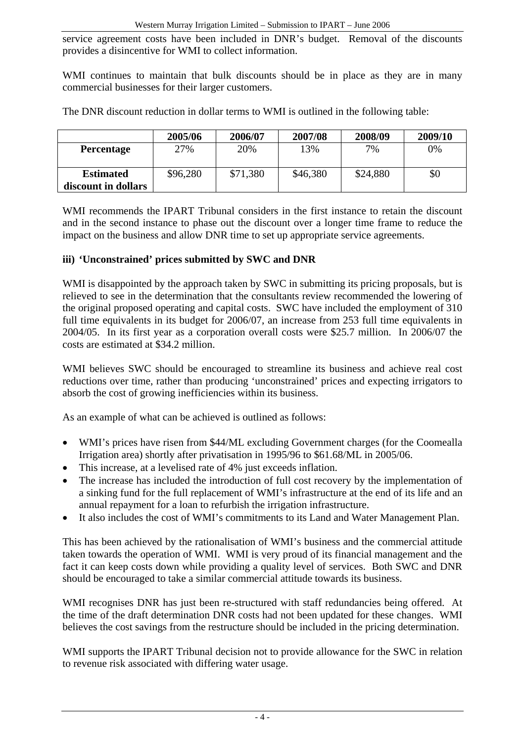service agreement costs have been included in DNR's budget. Removal of the discounts provides a disincentive for WMI to collect information.

WMI continues to maintain that bulk discounts should be in place as they are in many commercial businesses for their larger customers.

|                                         | 2005/06  | 2006/07  | 2007/08  | 2008/09  | 2009/10 |
|-----------------------------------------|----------|----------|----------|----------|---------|
| <b>Percentage</b>                       | 27%      | 20%      | 13%      | 7%       | 0%      |
| <b>Estimated</b><br>discount in dollars | \$96,280 | \$71,380 | \$46,380 | \$24,880 | \$0     |

The DNR discount reduction in dollar terms to WMI is outlined in the following table:

WMI recommends the IPART Tribunal considers in the first instance to retain the discount and in the second instance to phase out the discount over a longer time frame to reduce the impact on the business and allow DNR time to set up appropriate service agreements.

#### **iii) 'Unconstrained' prices submitted by SWC and DNR**

WMI is disappointed by the approach taken by SWC in submitting its pricing proposals, but is relieved to see in the determination that the consultants review recommended the lowering of the original proposed operating and capital costs. SWC have included the employment of 310 full time equivalents in its budget for 2006/07, an increase from 253 full time equivalents in 2004/05. In its first year as a corporation overall costs were \$25.7 million. In 2006/07 the costs are estimated at \$34.2 million.

WMI believes SWC should be encouraged to streamline its business and achieve real cost reductions over time, rather than producing 'unconstrained' prices and expecting irrigators to absorb the cost of growing inefficiencies within its business.

As an example of what can be achieved is outlined as follows:

- WMI's prices have risen from \$44/ML excluding Government charges (for the Coomealla Irrigation area) shortly after privatisation in 1995/96 to \$61.68/ML in 2005/06.
- This increase, at a levelised rate of 4% just exceeds inflation.
- The increase has included the introduction of full cost recovery by the implementation of a sinking fund for the full replacement of WMI's infrastructure at the end of its life and an annual repayment for a loan to refurbish the irrigation infrastructure.
- It also includes the cost of WMI's commitments to its Land and Water Management Plan.

This has been achieved by the rationalisation of WMI's business and the commercial attitude taken towards the operation of WMI. WMI is very proud of its financial management and the fact it can keep costs down while providing a quality level of services. Both SWC and DNR should be encouraged to take a similar commercial attitude towards its business.

WMI recognises DNR has just been re-structured with staff redundancies being offered. At the time of the draft determination DNR costs had not been updated for these changes. WMI believes the cost savings from the restructure should be included in the pricing determination.

WMI supports the IPART Tribunal decision not to provide allowance for the SWC in relation to revenue risk associated with differing water usage.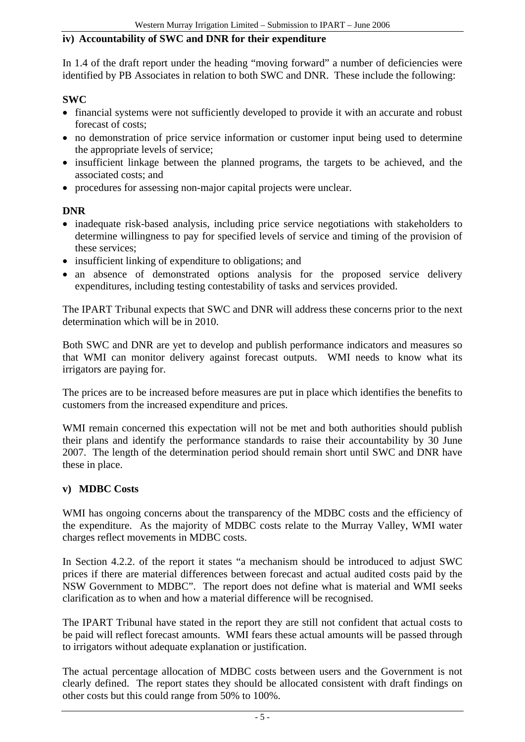#### **iv) Accountability of SWC and DNR for their expenditure**

In 1.4 of the draft report under the heading "moving forward" a number of deficiencies were identified by PB Associates in relation to both SWC and DNR. These include the following:

#### **SWC**

- financial systems were not sufficiently developed to provide it with an accurate and robust forecast of costs;
- no demonstration of price service information or customer input being used to determine the appropriate levels of service;
- insufficient linkage between the planned programs, the targets to be achieved, and the associated costs; and
- procedures for assessing non-major capital projects were unclear.

#### **DNR**

- inadequate risk-based analysis, including price service negotiations with stakeholders to determine willingness to pay for specified levels of service and timing of the provision of these services;
- insufficient linking of expenditure to obligations; and
- an absence of demonstrated options analysis for the proposed service delivery expenditures, including testing contestability of tasks and services provided.

The IPART Tribunal expects that SWC and DNR will address these concerns prior to the next determination which will be in 2010.

Both SWC and DNR are yet to develop and publish performance indicators and measures so that WMI can monitor delivery against forecast outputs. WMI needs to know what its irrigators are paying for.

The prices are to be increased before measures are put in place which identifies the benefits to customers from the increased expenditure and prices.

WMI remain concerned this expectation will not be met and both authorities should publish their plans and identify the performance standards to raise their accountability by 30 June 2007. The length of the determination period should remain short until SWC and DNR have these in place.

#### **v) MDBC Costs**

WMI has ongoing concerns about the transparency of the MDBC costs and the efficiency of the expenditure. As the majority of MDBC costs relate to the Murray Valley, WMI water charges reflect movements in MDBC costs.

In Section 4.2.2. of the report it states "a mechanism should be introduced to adjust SWC prices if there are material differences between forecast and actual audited costs paid by the NSW Government to MDBC". The report does not define what is material and WMI seeks clarification as to when and how a material difference will be recognised.

The IPART Tribunal have stated in the report they are still not confident that actual costs to be paid will reflect forecast amounts. WMI fears these actual amounts will be passed through to irrigators without adequate explanation or justification.

The actual percentage allocation of MDBC costs between users and the Government is not clearly defined. The report states they should be allocated consistent with draft findings on other costs but this could range from 50% to 100%.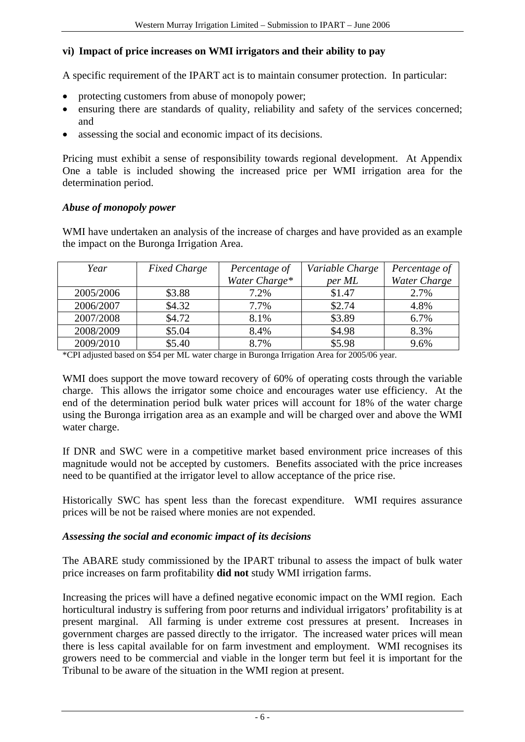#### **vi) Impact of price increases on WMI irrigators and their ability to pay**

A specific requirement of the IPART act is to maintain consumer protection. In particular:

- protecting customers from abuse of monopoly power;
- ensuring there are standards of quality, reliability and safety of the services concerned; and
- assessing the social and economic impact of its decisions.

Pricing must exhibit a sense of responsibility towards regional development. At Appendix One a table is included showing the increased price per WMI irrigation area for the determination period.

#### *Abuse of monopoly power*

WMI have undertaken an analysis of the increase of charges and have provided as an example the impact on the Buronga Irrigation Area.

| Year      | <b>Fixed Charge</b> | Percentage of | Variable Charge | Percentage of |
|-----------|---------------------|---------------|-----------------|---------------|
|           |                     | Water Charge* | per ML          | Water Charge  |
| 2005/2006 | \$3.88              | 7.2%          | \$1.47          | 2.7%          |
| 2006/2007 | \$4.32              | 7.7%          | \$2.74          | 4.8%          |
| 2007/2008 | \$4.72              | 8.1%          | \$3.89          | 6.7%          |
| 2008/2009 | \$5.04              | 8.4%          | \$4.98          | 8.3%          |
| 2009/2010 | \$5.40              | 8.7%          | \$5.98          | 9.6%          |

\*CPI adjusted based on \$54 per ML water charge in Buronga Irrigation Area for 2005/06 year.

WMI does support the move toward recovery of 60% of operating costs through the variable charge. This allows the irrigator some choice and encourages water use efficiency. At the end of the determination period bulk water prices will account for 18% of the water charge using the Buronga irrigation area as an example and will be charged over and above the WMI water charge.

If DNR and SWC were in a competitive market based environment price increases of this magnitude would not be accepted by customers. Benefits associated with the price increases need to be quantified at the irrigator level to allow acceptance of the price rise.

Historically SWC has spent less than the forecast expenditure. WMI requires assurance prices will be not be raised where monies are not expended.

#### *Assessing the social and economic impact of its decisions*

The ABARE study commissioned by the IPART tribunal to assess the impact of bulk water price increases on farm profitability **did not** study WMI irrigation farms.

Increasing the prices will have a defined negative economic impact on the WMI region. Each horticultural industry is suffering from poor returns and individual irrigators' profitability is at present marginal. All farming is under extreme cost pressures at present. Increases in government charges are passed directly to the irrigator. The increased water prices will mean there is less capital available for on farm investment and employment. WMI recognises its growers need to be commercial and viable in the longer term but feel it is important for the Tribunal to be aware of the situation in the WMI region at present.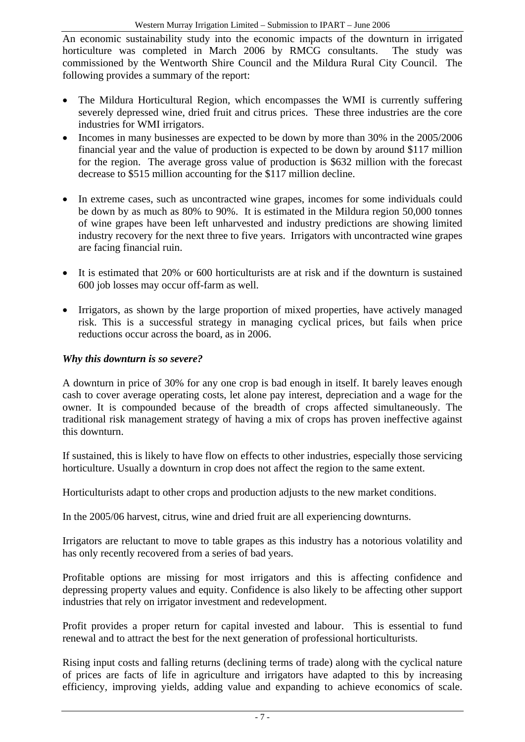An economic sustainability study into the economic impacts of the downturn in irrigated horticulture was completed in March 2006 by RMCG consultants. The study was commissioned by the Wentworth Shire Council and the Mildura Rural City Council. The following provides a summary of the report:

- The Mildura Horticultural Region, which encompasses the WMI is currently suffering severely depressed wine, dried fruit and citrus prices. These three industries are the core industries for WMI irrigators.
- Incomes in many businesses are expected to be down by more than 30% in the 2005/2006 financial year and the value of production is expected to be down by around \$117 million for the region. The average gross value of production is \$632 million with the forecast decrease to \$515 million accounting for the \$117 million decline.
- In extreme cases, such as uncontracted wine grapes, incomes for some individuals could be down by as much as 80% to 90%. It is estimated in the Mildura region 50,000 tonnes of wine grapes have been left unharvested and industry predictions are showing limited industry recovery for the next three to five years. Irrigators with uncontracted wine grapes are facing financial ruin.
- It is estimated that 20% or 600 horticulturists are at risk and if the downturn is sustained 600 job losses may occur off-farm as well.
- Irrigators, as shown by the large proportion of mixed properties, have actively managed risk. This is a successful strategy in managing cyclical prices, but fails when price reductions occur across the board, as in 2006.

## *Why this downturn is so severe?*

A downturn in price of 30% for any one crop is bad enough in itself. It barely leaves enough cash to cover average operating costs, let alone pay interest, depreciation and a wage for the owner. It is compounded because of the breadth of crops affected simultaneously. The traditional risk management strategy of having a mix of crops has proven ineffective against this downturn.

If sustained, this is likely to have flow on effects to other industries, especially those servicing horticulture. Usually a downturn in crop does not affect the region to the same extent.

Horticulturists adapt to other crops and production adjusts to the new market conditions.

In the 2005/06 harvest, citrus, wine and dried fruit are all experiencing downturns.

Irrigators are reluctant to move to table grapes as this industry has a notorious volatility and has only recently recovered from a series of bad years.

Profitable options are missing for most irrigators and this is affecting confidence and depressing property values and equity. Confidence is also likely to be affecting other support industries that rely on irrigator investment and redevelopment.

Profit provides a proper return for capital invested and labour. This is essential to fund renewal and to attract the best for the next generation of professional horticulturists.

Rising input costs and falling returns (declining terms of trade) along with the cyclical nature of prices are facts of life in agriculture and irrigators have adapted to this by increasing efficiency, improving yields, adding value and expanding to achieve economics of scale.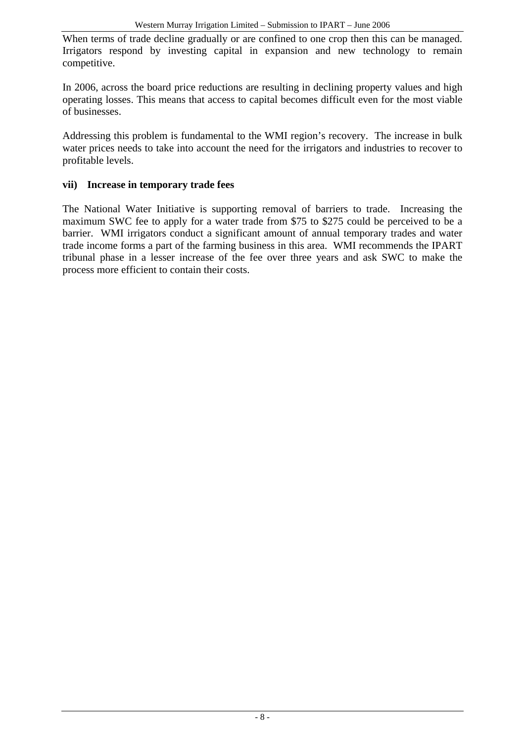When terms of trade decline gradually or are confined to one crop then this can be managed. Irrigators respond by investing capital in expansion and new technology to remain competitive.

In 2006, across the board price reductions are resulting in declining property values and high operating losses. This means that access to capital becomes difficult even for the most viable of businesses.

Addressing this problem is fundamental to the WMI region's recovery. The increase in bulk water prices needs to take into account the need for the irrigators and industries to recover to profitable levels.

#### **vii) Increase in temporary trade fees**

The National Water Initiative is supporting removal of barriers to trade. Increasing the maximum SWC fee to apply for a water trade from \$75 to \$275 could be perceived to be a barrier. WMI irrigators conduct a significant amount of annual temporary trades and water trade income forms a part of the farming business in this area. WMI recommends the IPART tribunal phase in a lesser increase of the fee over three years and ask SWC to make the process more efficient to contain their costs.